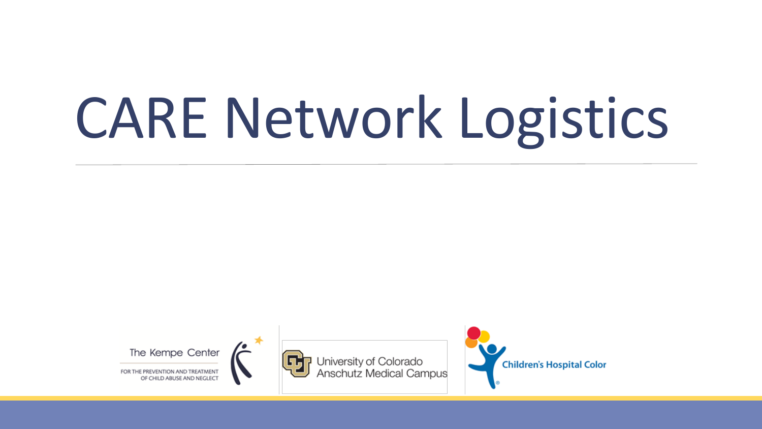# CARE Network Logistics





University of Colorado<br>Anschutz Medical Campus

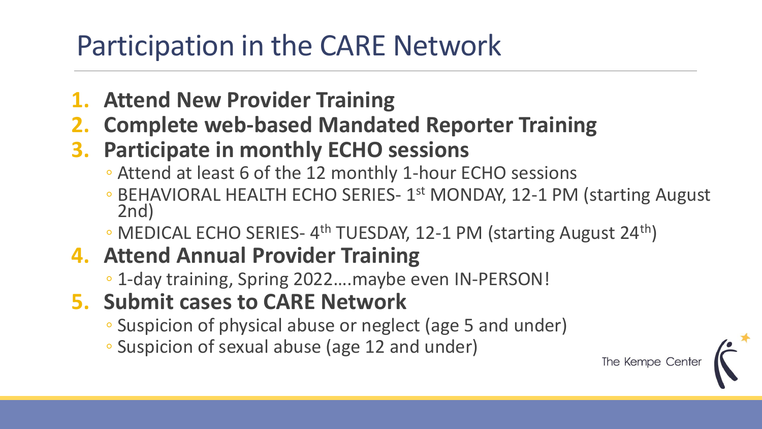#### Participation in the CARE Network

- **1. Attend New Provider Training**
- **2. Complete web-based Mandated Reporter Training**
- **3. Participate in monthly ECHO sessions**
	- Attend at least 6 of the 12 monthly 1-hour ECHO sessions
	- BEHAVIORAL HEALTH ECHO SERIES- 1<sup>st</sup> MONDAY, 12-1 PM (starting August 2nd)
	- MEDICAL ECHO SERIES- 4<sup>th</sup> TUESDAY, 12-1 PM (starting August 24<sup>th</sup>)

#### **4. Attend Annual Provider Training**

- 1-day training, Spring 2022….maybe even IN-PERSON!
- **5. Submit cases to CARE Network**
	- Suspicion of physical abuse or neglect (age 5 and under)
	- Suspicion of sexual abuse (age 12 and under)

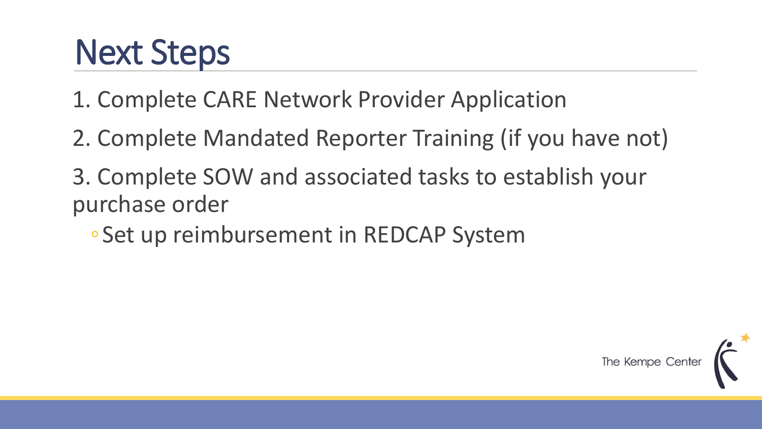#### Next Steps

1. Complete CARE Network Provider Application

- 2. Complete Mandated Reporter Training (if you have not)
- 3. Complete SOW and associated tasks to establish your purchase order
	- ◦Set up reimbursement in REDCAP System

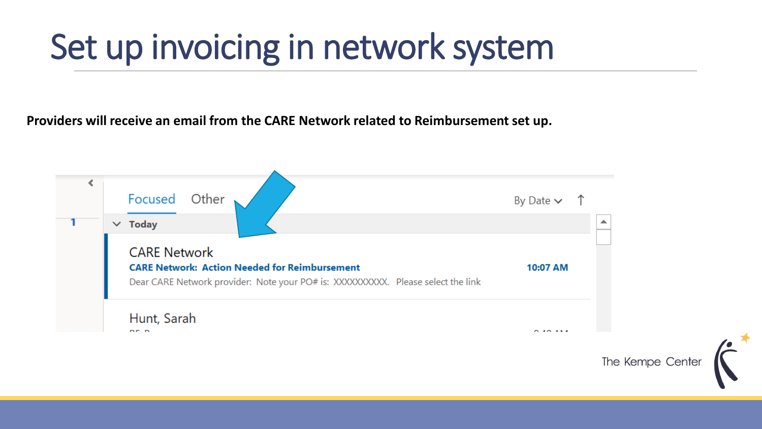#### Set up invoicing in network system

**Providers will receive an email from the CARE Network related to Reimbursement set up.** 

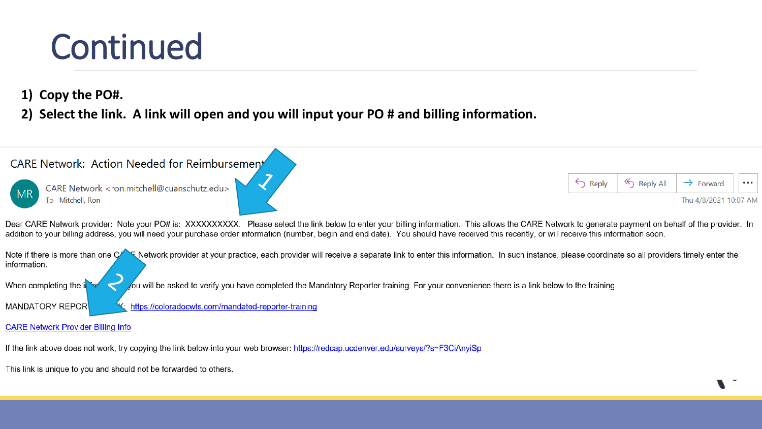#### Continued

- **1) Copy the PO#.**
- **2) Select the link. A link will open and you will input your PO # and billing information.**



This link is unique to you and should not be forwarded to others.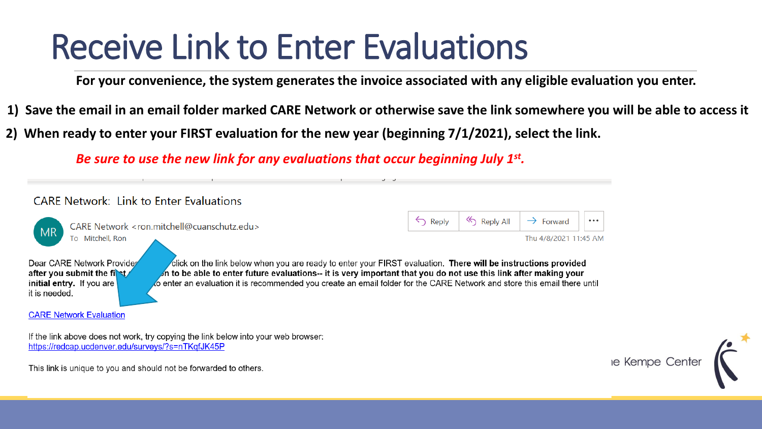#### Receive Link to Enter Evaluations

**For your convenience, the system generates the invoice associated with any eligible evaluation you enter.** 

- **1) Save the email in an email folder marked CARE Network or otherwise save the link somewhere you will be able to access it**
- **2) When ready to enter your FIRST evaluation for the new year (beginning 7/1/2021), select the link.**

*Be sure to use the new link for any evaluations that occur beginning July 1st .* 



If the link above does not work, try copying the link below into your web browser: https://redcap.ucdenver.edu/surveys/?s=nTKqfJK45P

le Kempe Center

This link is unique to you and should not be forwarded to others.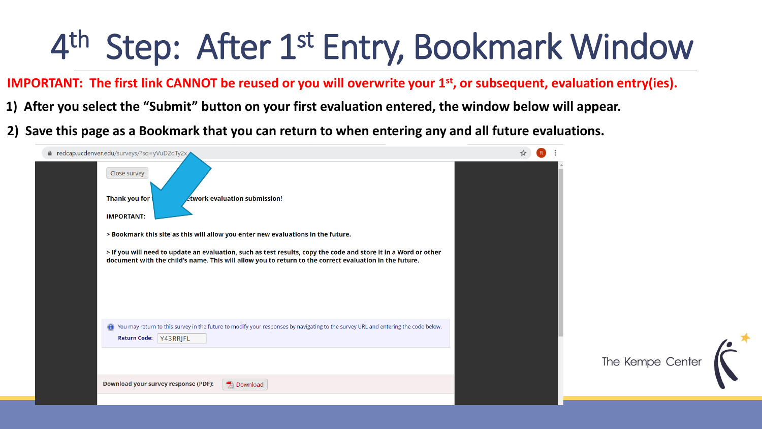### 4<sup>th</sup> Step: After 1<sup>st</sup> Entry, Bookmark Window

**IMPORTANT: The first link CANNOT be reused or you will overwrite your 1st, or subsequent, evaluation entry(ies).** 

- **1) After you select the "Submit" button on your first evaluation entered, the window below will appear.**
- **2) Save this page as a Bookmark that you can return to when entering any and all future evaluations.**

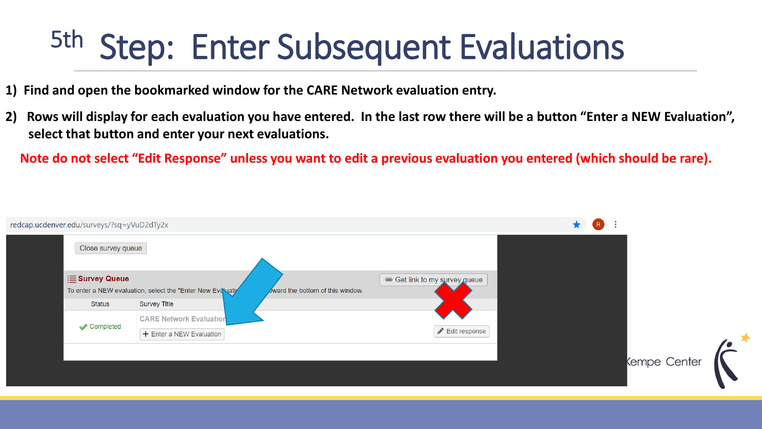#### 5th Step: Enter Subsequent Evaluations

- **1) Find and open the bookmarked window for the CARE Network evaluation entry.**
- **2) Rows will display for each evaluation you have entered. In the last row there will be a button "Enter a NEW Evaluation", select that button and enter your next evaluations.**

**Note do not select "Edit Response" unless you want to edit a previous evaluation you entered (which should be rare).**

| redcap.ucdenver.edu/surveys/?sq=yVuD2dTy2x |                                                                                                                               |  |                             | $\star$ | R |              |  |
|--------------------------------------------|-------------------------------------------------------------------------------------------------------------------------------|--|-----------------------------|---------|---|--------------|--|
| Close survey queue                         |                                                                                                                               |  |                             |         |   |              |  |
| $\equiv$ Survey Queue                      | Get link to my survey gueue<br>To enter a NEW evaluation, select the "Enter New Eva uation<br>ward the bottom of this window. |  |                             |         |   |              |  |
| <b>Status</b>                              | <b>Survey Title</b>                                                                                                           |  |                             |         |   |              |  |
| Completed                                  | <b>CARE Network Evaluation</b><br>$+$ Enter a NEW Evaluation                                                                  |  | $\mathscr{I}$ Edit response |         |   |              |  |
|                                            |                                                                                                                               |  |                             |         |   | Kempe Center |  |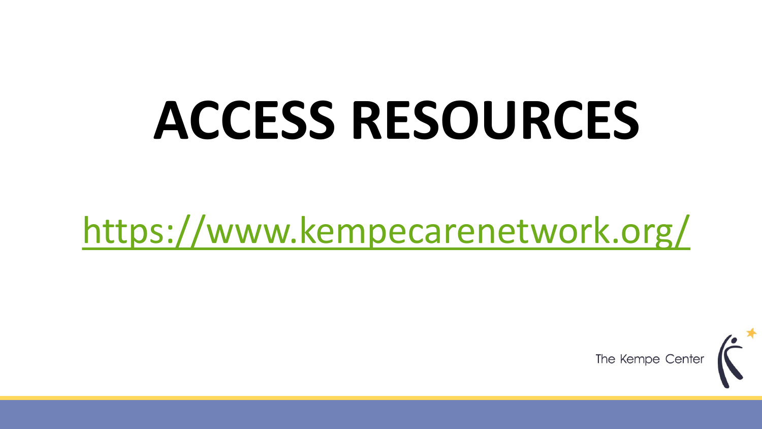## **ACCESS RESOURCES**

#### <https://www.kempecarenetwork.org/>